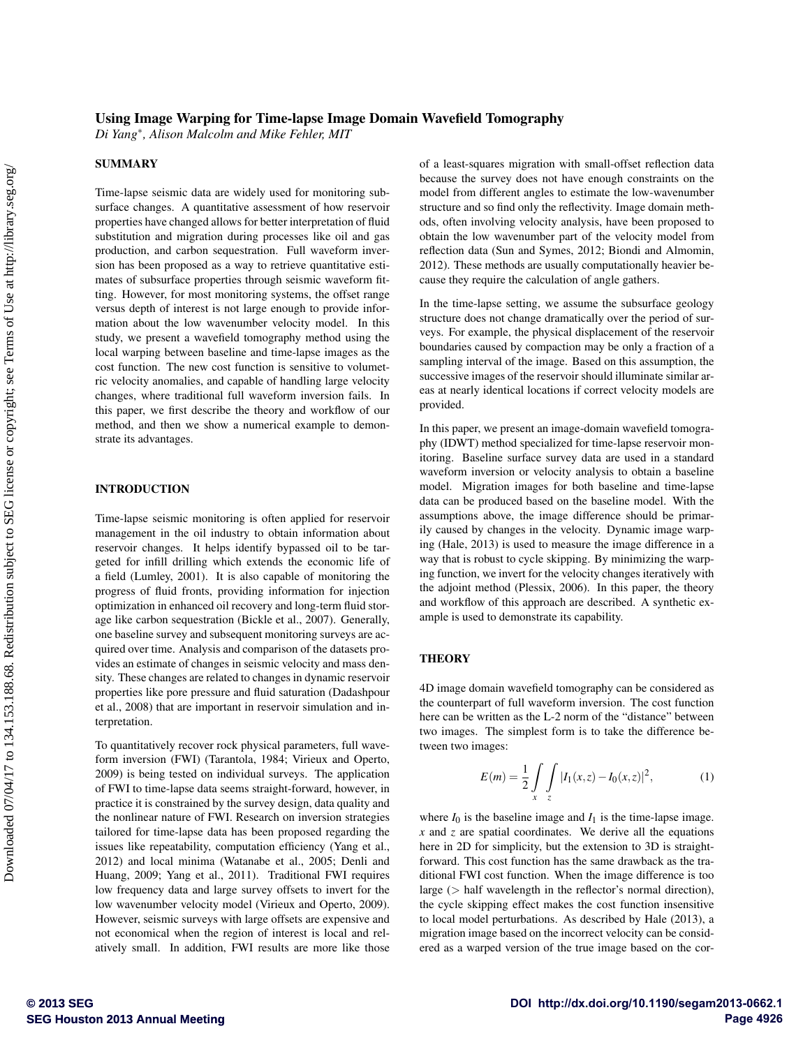# Using Image Warping for Time-lapse Image Domain Wavefield Tomography

*Di Yang*<sup>∗</sup> *, Alison Malcolm and Mike Fehler, MIT*

#### SUMMARY

Time-lapse seismic data are widely used for monitoring subsurface changes. A quantitative assessment of how reservoir properties have changed allows for better interpretation of fluid substitution and migration during processes like oil and gas production, and carbon sequestration. Full waveform inversion has been proposed as a way to retrieve quantitative estimates of subsurface properties through seismic waveform fitting. However, for most monitoring systems, the offset range versus depth of interest is not large enough to provide information about the low wavenumber velocity model. In this study, we present a wavefield tomography method using the local warping between baseline and time-lapse images as the cost function. The new cost function is sensitive to volumetric velocity anomalies, and capable of handling large velocity changes, where traditional full waveform inversion fails. In this paper, we first describe the theory and workflow of our method, and then we show a numerical example to demonstrate its advantages.

### INTRODUCTION

Time-lapse seismic monitoring is often applied for reservoir management in the oil industry to obtain information about reservoir changes. It helps identify bypassed oil to be targeted for infill drilling which extends the economic life of a field (Lumley, 2001). It is also capable of monitoring the progress of fluid fronts, providing information for injection optimization in enhanced oil recovery and long-term fluid storage like carbon sequestration (Bickle et al., 2007). Generally, one baseline survey and subsequent monitoring surveys are acquired over time. Analysis and comparison of the datasets provides an estimate of changes in seismic velocity and mass density. These changes are related to changes in dynamic reservoir properties like pore pressure and fluid saturation (Dadashpour et al., 2008) that are important in reservoir simulation and interpretation.

To quantitatively recover rock physical parameters, full waveform inversion (FWI) (Tarantola, 1984; Virieux and Operto, 2009) is being tested on individual surveys. The application of FWI to time-lapse data seems straight-forward, however, in practice it is constrained by the survey design, data quality and the nonlinear nature of FWI. Research on inversion strategies tailored for time-lapse data has been proposed regarding the issues like repeatability, computation efficiency (Yang et al., 2012) and local minima (Watanabe et al., 2005; Denli and Huang, 2009; Yang et al., 2011). Traditional FWI requires low frequency data and large survey offsets to invert for the low wavenumber velocity model (Virieux and Operto, 2009). However, seismic surveys with large offsets are expensive and not economical when the region of interest is local and relatively small. In addition, FWI results are more like those

of a least-squares migration with small-offset reflection data because the survey does not have enough constraints on the model from different angles to estimate the low-wavenumber structure and so find only the reflectivity. Image domain methods, often involving velocity analysis, have been proposed to obtain the low wavenumber part of the velocity model from reflection data (Sun and Symes, 2012; Biondi and Almomin, 2012). These methods are usually computationally heavier because they require the calculation of angle gathers.

In the time-lapse setting, we assume the subsurface geology structure does not change dramatically over the period of surveys. For example, the physical displacement of the reservoir boundaries caused by compaction may be only a fraction of a sampling interval of the image. Based on this assumption, the successive images of the reservoir should illuminate similar areas at nearly identical locations if correct velocity models are provided.

In this paper, we present an image-domain wavefield tomography (IDWT) method specialized for time-lapse reservoir monitoring. Baseline surface survey data are used in a standard waveform inversion or velocity analysis to obtain a baseline model. Migration images for both baseline and time-lapse data can be produced based on the baseline model. With the assumptions above, the image difference should be primarily caused by changes in the velocity. Dynamic image warping (Hale, 2013) is used to measure the image difference in a way that is robust to cycle skipping. By minimizing the warping function, we invert for the velocity changes iteratively with the adjoint method (Plessix, 2006). In this paper, the theory and workflow of this approach are described. A synthetic example is used to demonstrate its capability.

### **THEORY**

4D image domain wavefield tomography can be considered as the counterpart of full waveform inversion. The cost function here can be written as the L-2 norm of the "distance" between two images. The simplest form is to take the difference between two images:

$$
E(m) = \frac{1}{2} \int\limits_{x} \int\limits_{z} |I_1(x, z) - I_0(x, z)|^2, \tag{1}
$$

where  $I_0$  is the baseline image and  $I_1$  is the time-lapse image. *x* and *z* are spatial coordinates. We derive all the equations here in 2D for simplicity, but the extension to 3D is straightforward. This cost function has the same drawback as the traditional FWI cost function. When the image difference is too large (> half wavelength in the reflector's normal direction), the cycle skipping effect makes the cost function insensitive to local model perturbations. As described by Hale (2013), a migration image based on the incorrect velocity can be considered as a warped version of the true image based on the cor-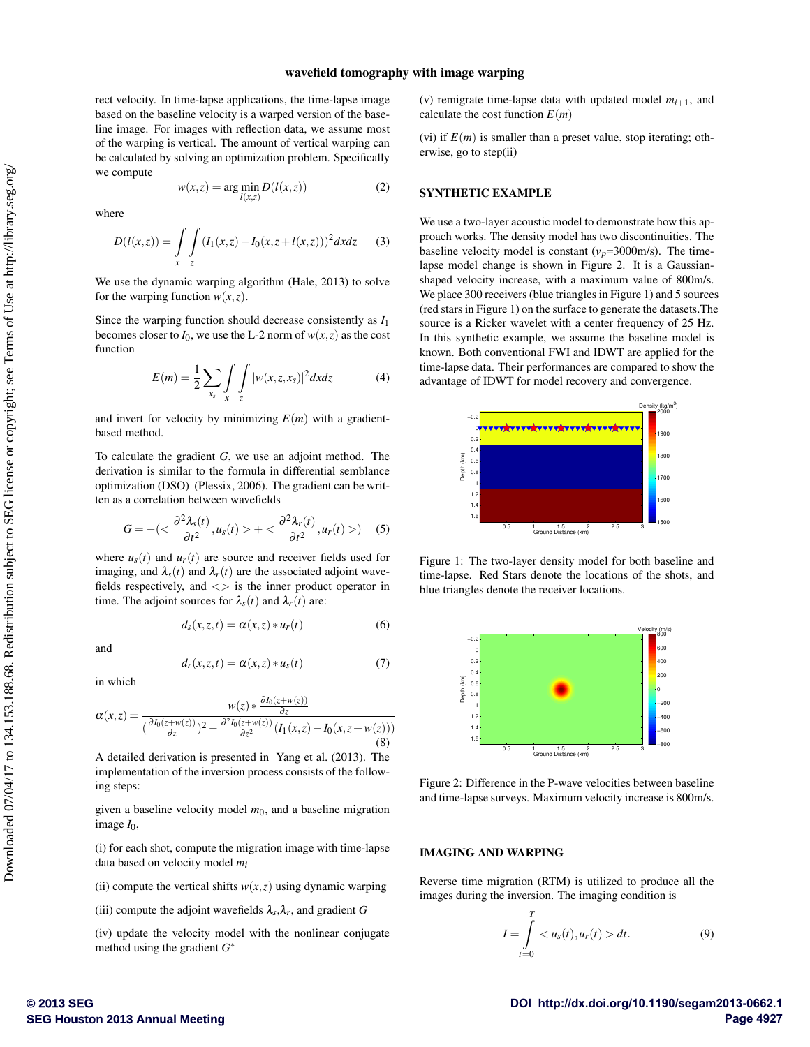## wavefield tomography with image warping

rect velocity. In time-lapse applications, the time-lapse image based on the baseline velocity is a warped version of the baseline image. For images with reflection data, we assume most of the warping is vertical. The amount of vertical warping can be calculated by solving an optimization problem. Specifically we compute

$$
w(x,z) = \arg\min_{l(x,z)} D(l(x,z))
$$
 (2)

where

$$
D(l(x,z)) = \int\limits_{x} \int\limits_{z} (I_1(x,z) - I_0(x,z + l(x,z)))^2 dx dz \qquad (3)
$$

We use the dynamic warping algorithm (Hale, 2013) to solve for the warping function  $w(x, z)$ .

Since the warping function should decrease consistently as *I*<sup>1</sup> becomes closer to  $I_0$ , we use the L-2 norm of  $w(x, z)$  as the cost function

$$
E(m) = \frac{1}{2} \sum_{x_s} \int \int \int_{z} |w(x, z, x_s)|^2 dx dz
$$
 (4)

and invert for velocity by minimizing  $E(m)$  with a gradientbased method.

To calculate the gradient *G*, we use an adjoint method. The derivation is similar to the formula in differential semblance optimization (DSO) (Plessix, 2006). The gradient can be written as a correlation between wavefields

$$
G = -\left( < \frac{\partial^2 \lambda_s(t)}{\partial t^2}, u_s(t) > + < \frac{\partial^2 \lambda_r(t)}{\partial t^2}, u_r(t) > \right) \tag{5}
$$

where  $u_s(t)$  and  $u_r(t)$  are source and receiver fields used for imaging, and  $\lambda_s(t)$  and  $\lambda_r(t)$  are the associated adjoint wavefields respectively, and <> is the inner product operator in time. The adjoint sources for  $\lambda_s(t)$  and  $\lambda_r(t)$  are:

$$
d_s(x, z, t) = \alpha(x, z) * u_r(t)
$$
 (6)

and

$$
d_r(x, z, t) = \alpha(x, z) * u_s(t)
$$
 (7)

∂ *I*0(*z*+*w*(*z*))

in which

$$
\alpha(x,z) = \frac{w(z) * \frac{dI_0(z + w(z))}{\partial z}}{(\frac{\partial I_0(z + w(z))}{\partial z})^2 - \frac{\partial^2 I_0(z + w(z))}{\partial z^2} (I_1(x,z) - I_0(x,z + w(z)))}
$$
(8)

A detailed derivation is presented in Yang et al. (2013). The implementation of the inversion process consists of the following steps:

given a baseline velocity model  $m_0$ , and a baseline migration image  $I_0$ ,

(i) for each shot, compute the migration image with time-lapse data based on velocity model *mi*

(ii) compute the vertical shifts  $w(x, z)$  using dynamic warping

(iii) compute the adjoint wavefields  $\lambda_s, \lambda_r$ , and gradient *G* 

(iv) update the velocity model with the nonlinear conjugate method using the gradient *G*<sup>\*</sup>

(v) remigrate time-lapse data with updated model  $m_{i+1}$ , and calculate the cost function  $E(m)$ 

(vi) if  $E(m)$  is smaller than a preset value, stop iterating; otherwise, go to step(ii)

## SYNTHETIC EXAMPLE

We use a two-layer acoustic model to demonstrate how this approach works. The density model has two discontinuities. The baseline velocity model is constant  $(v_p=3000 \text{m/s})$ . The timelapse model change is shown in Figure 2. It is a Gaussianshaped velocity increase, with a maximum value of 800m/s. We place 300 receivers (blue triangles in Figure 1) and 5 sources (red stars in Figure 1) on the surface to generate the datasets.The source is a Ricker wavelet with a center frequency of 25 Hz. In this synthetic example, we assume the baseline model is known. Both conventional FWI and IDWT are applied for the time-lapse data. Their performances are compared to show the advantage of IDWT for model recovery and convergence.



Figure 1: The two-layer density model for both baseline and time-lapse. Red Stars denote the locations of the shots, and blue triangles denote the receiver locations.



Figure 2: Difference in the P-wave velocities between baseline and time-lapse surveys. Maximum velocity increase is 800m/s.

### IMAGING AND WARPING

Reverse time migration (RTM) is utilized to produce all the images during the inversion. The imaging condition is

$$
I = \int_{t=0}^{T} < u_s(t), u_r(t) > dt.
$$
 (9)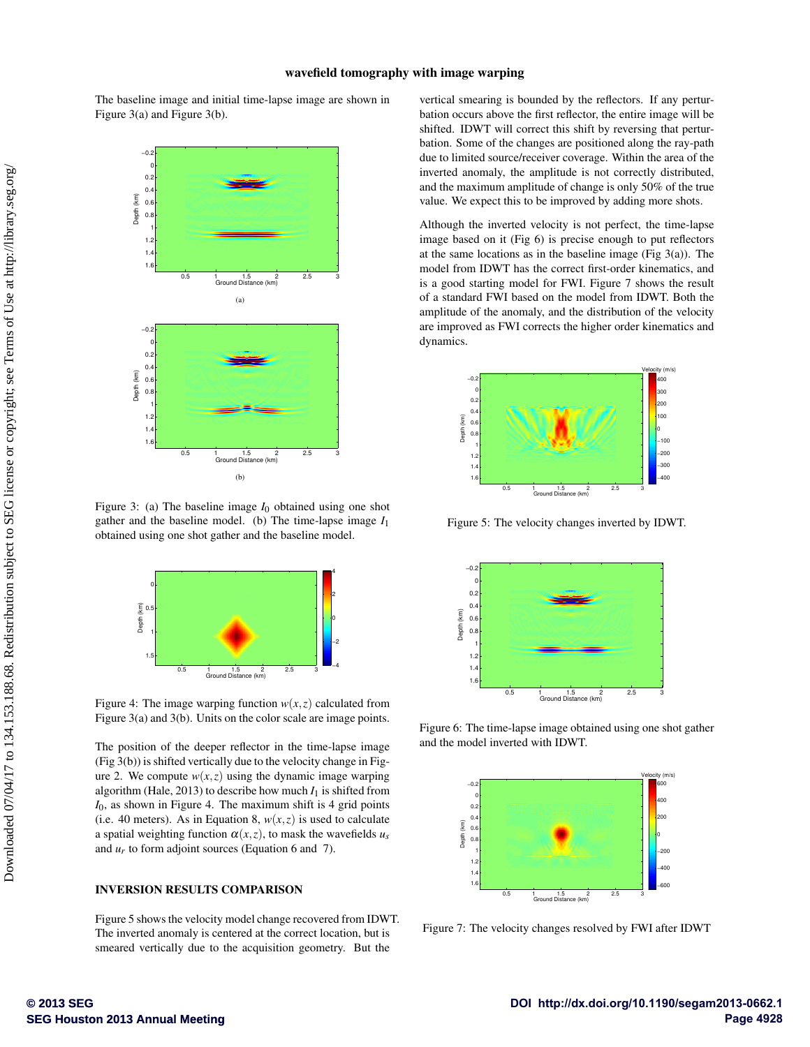# wavefield tomography with image warping

The baseline image and initial time-lapse image are shown in Figure 3(a) and Figure 3(b).



Figure 3: (a) The baseline image  $I_0$  obtained using one shot gather and the baseline model. (b) The time-lapse image *I*<sup>1</sup> obtained using one shot gather and the baseline model.



Figure 4: The image warping function  $w(x, z)$  calculated from Figure 3(a) and 3(b). Units on the color scale are image points.

The position of the deeper reflector in the time-lapse image (Fig 3(b)) is shifted vertically due to the velocity change in Figure 2. We compute  $w(x, z)$  using the dynamic image warping algorithm (Hale, 2013) to describe how much  $I_1$  is shifted from *I*0, as shown in Figure 4. The maximum shift is 4 grid points (i.e. 40 meters). As in Equation 8,  $w(x, z)$  is used to calculate a spatial weighting function  $\alpha(x, z)$ , to mask the wavefields  $u_s$ and  $u_r$  to form adjoint sources (Equation 6 and 7).

# INVERSION RESULTS COMPARISON

Figure 5 shows the velocity model change recovered from IDWT. The inverted anomaly is centered at the correct location, but is smeared vertically due to the acquisition geometry. But the

vertical smearing is bounded by the reflectors. If any perturbation occurs above the first reflector, the entire image will be shifted. IDWT will correct this shift by reversing that perturbation. Some of the changes are positioned along the ray-path due to limited source/receiver coverage. Within the area of the inverted anomaly, the amplitude is not correctly distributed, and the maximum amplitude of change is only 50% of the true value. We expect this to be improved by adding more shots.

Although the inverted velocity is not perfect, the time-lapse image based on it (Fig 6) is precise enough to put reflectors at the same locations as in the baseline image (Fig  $3(a)$ ). The model from IDWT has the correct first-order kinematics, and is a good starting model for FWI. Figure 7 shows the result of a standard FWI based on the model from IDWT. Both the amplitude of the anomaly, and the distribution of the velocity are improved as FWI corrects the higher order kinematics and dynamics.



Figure 5: The velocity changes inverted by IDWT.



Figure 6: The time-lapse image obtained using one shot gather and the model inverted with IDWT.



Figure 7: The velocity changes resolved by FWI after IDWT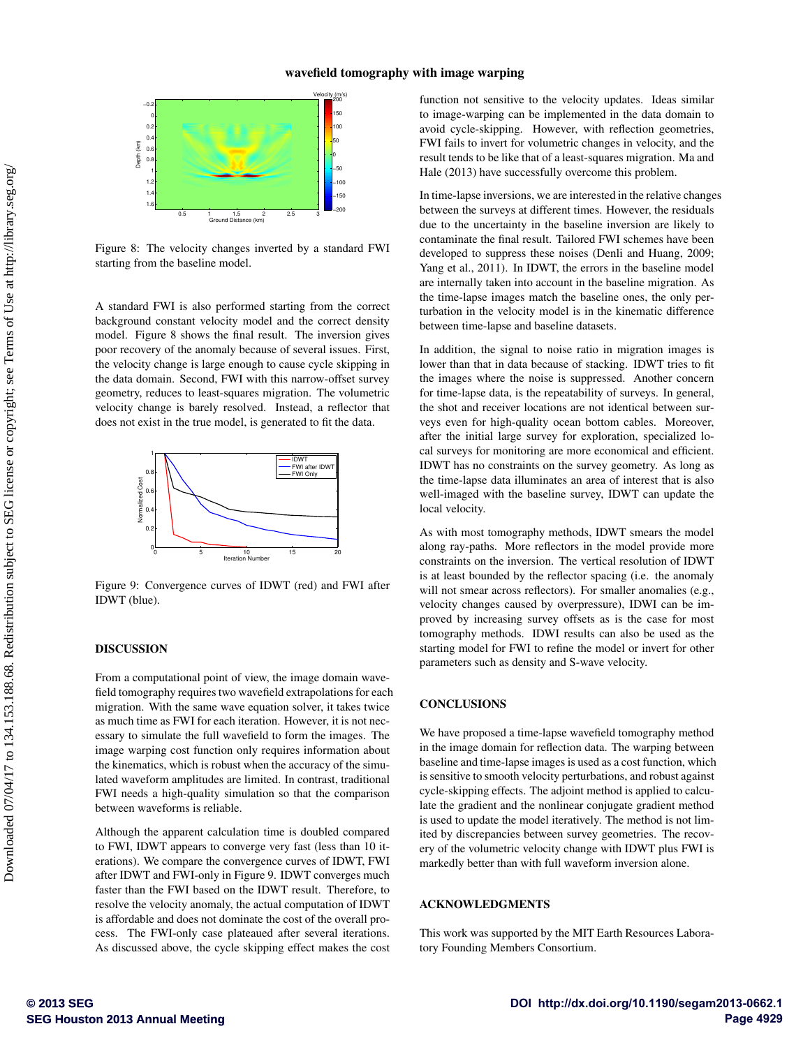# wavefield tomography with image warping



Figure 8: The velocity changes inverted by a standard FWI starting from the baseline model.

A standard FWI is also performed starting from the correct background constant velocity model and the correct density model. Figure 8 shows the final result. The inversion gives poor recovery of the anomaly because of several issues. First, the velocity change is large enough to cause cycle skipping in the data domain. Second, FWI with this narrow-offset survey geometry, reduces to least-squares migration. The volumetric velocity change is barely resolved. Instead, a reflector that does not exist in the true model, is generated to fit the data.



Figure 9: Convergence curves of IDWT (red) and FWI after IDWT (blue).

#### DISCUSSION

From a computational point of view, the image domain wavefield tomography requires two wavefield extrapolations for each migration. With the same wave equation solver, it takes twice as much time as FWI for each iteration. However, it is not necessary to simulate the full wavefield to form the images. The image warping cost function only requires information about the kinematics, which is robust when the accuracy of the simulated waveform amplitudes are limited. In contrast, traditional FWI needs a high-quality simulation so that the comparison between waveforms is reliable.

Although the apparent calculation time is doubled compared to FWI, IDWT appears to converge very fast (less than 10 iterations). We compare the convergence curves of IDWT, FWI after IDWT and FWI-only in Figure 9. IDWT converges much faster than the FWI based on the IDWT result. Therefore, to resolve the velocity anomaly, the actual computation of IDWT is affordable and does not dominate the cost of the overall process. The FWI-only case plateaued after several iterations. As discussed above, the cycle skipping effect makes the cost

function not sensitive to the velocity updates. Ideas similar to image-warping can be implemented in the data domain to avoid cycle-skipping. However, with reflection geometries, FWI fails to invert for volumetric changes in velocity, and the result tends to be like that of a least-squares migration. Ma and Hale (2013) have successfully overcome this problem.

In time-lapse inversions, we are interested in the relative changes between the surveys at different times. However, the residuals due to the uncertainty in the baseline inversion are likely to contaminate the final result. Tailored FWI schemes have been developed to suppress these noises (Denli and Huang, 2009; Yang et al., 2011). In IDWT, the errors in the baseline model are internally taken into account in the baseline migration. As the time-lapse images match the baseline ones, the only perturbation in the velocity model is in the kinematic difference between time-lapse and baseline datasets.

In addition, the signal to noise ratio in migration images is lower than that in data because of stacking. IDWT tries to fit the images where the noise is suppressed. Another concern for time-lapse data, is the repeatability of surveys. In general, the shot and receiver locations are not identical between surveys even for high-quality ocean bottom cables. Moreover, after the initial large survey for exploration, specialized local surveys for monitoring are more economical and efficient. IDWT has no constraints on the survey geometry. As long as the time-lapse data illuminates an area of interest that is also well-imaged with the baseline survey, IDWT can update the local velocity.

As with most tomography methods, IDWT smears the model along ray-paths. More reflectors in the model provide more constraints on the inversion. The vertical resolution of IDWT is at least bounded by the reflector spacing (i.e. the anomaly will not smear across reflectors). For smaller anomalies (e.g., velocity changes caused by overpressure), IDWI can be improved by increasing survey offsets as is the case for most tomography methods. IDWI results can also be used as the starting model for FWI to refine the model or invert for other parameters such as density and S-wave velocity.

### **CONCLUSIONS**

We have proposed a time-lapse wavefield tomography method in the image domain for reflection data. The warping between baseline and time-lapse images is used as a cost function, which is sensitive to smooth velocity perturbations, and robust against cycle-skipping effects. The adjoint method is applied to calculate the gradient and the nonlinear conjugate gradient method is used to update the model iteratively. The method is not limited by discrepancies between survey geometries. The recovery of the volumetric velocity change with IDWT plus FWI is markedly better than with full waveform inversion alone.

# ACKNOWLEDGMENTS

This work was supported by the MIT Earth Resources Laboratory Founding Members Consortium.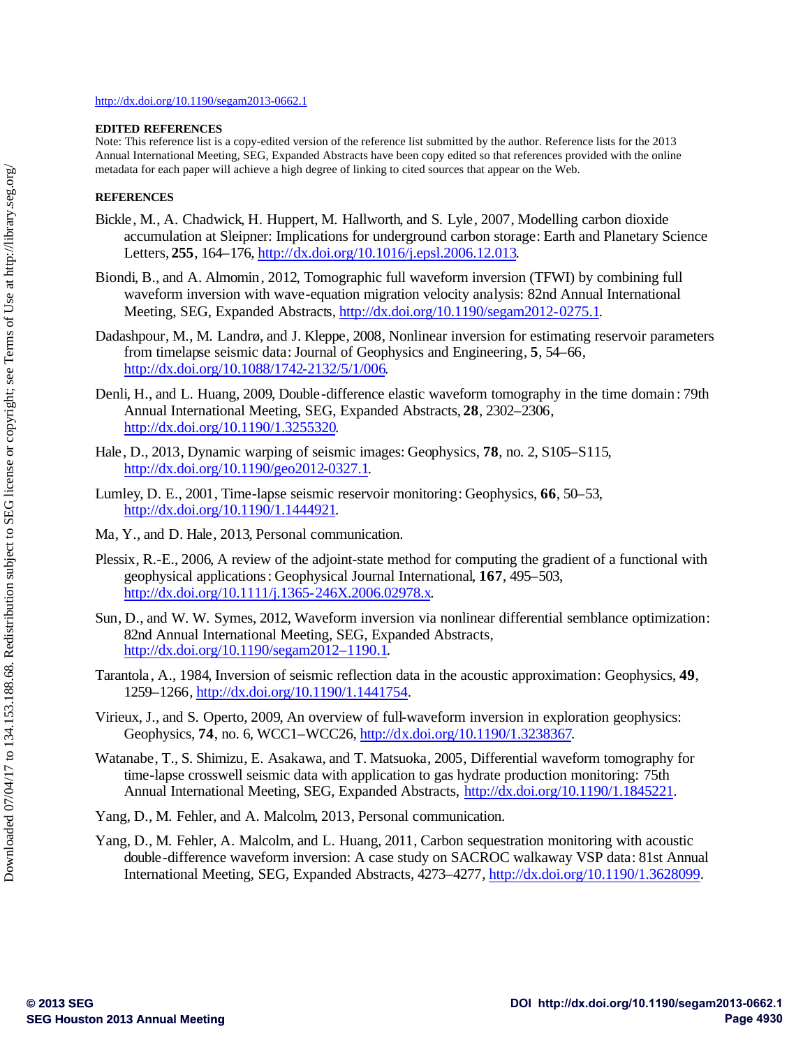### http://dx.doi.org/10.1190/segam2013-0662.1

#### **EDITED REFERENCES**

Note: This reference list is a copy-edited version of the reference list submitted by the author. Reference lists for the 2013 Annual International Meeting, SEG, Expanded Abstracts have been copy edited so that references provided with the online metadata for each paper will achieve a high degree of linking to cited sources that appear on the Web.

### **REFERENCES**

- Bickle, M., A. Chadwick, H. Huppert, M. Hallworth, and S. Lyle, 2007, Modelling carbon dioxide accumulation at Sleipner: Implications for underground carbon storage: Earth and Planetary Science Letters, **255**, 164–176, http://dx.doi.org/10.1016/j.epsl.2006.12.013.
- Biondi, B., and A. Almomin, 2012, Tomographic full waveform inversion (TFWI) by combining full waveform inversion with wave-equation migration velocity analysis: 82nd Annual International Meeting, SEG, Expanded Abstracts, http://dx.doi.org/10.1190/segam2012-0275.1.
- Dadashpour, M., M. Landrø, and J. Kleppe, 2008, Nonlinear inversion for estimating reservoir parameters from timelapse seismic data: Journal of Geophysics and Engineering, **5**, 54–66, http://dx.doi.org/10.1088/1742-2132/5/1/006.
- Denli, H., and L. Huang, 2009, Double-difference elastic waveform tomography in the time domain: 79th Annual International Meeting, SEG, Expanded Abstracts, **28**, 2302–2306, http://dx.doi.org/10.1190/1.3255320.
- Hale, D., 2013, Dynamic warping of seismic images: Geophysics, **78**, no. 2, S105–S115, http://dx.doi.org/10.1190/geo2012-0327.1.
- Lumley, D. E., 2001, Time-lapse seismic reservoir monitoring: Geophysics, **66**, 50–53, http://dx.doi.org/10.1190/1.1444921.
- Ma, Y., and D. Hale, 2013, Personal communication.
- Plessix, R.-E., 2006, A review of the adjoint-state method for computing the gradient of a functional with geophysical applications: Geophysical Journal International, **167**, 495–503, http://dx.doi.org/10.1111/j.1365-246X.2006.02978.x.
- Sun, D., and W. W. Symes, 2012, Waveform inversion via nonlinear differential semblance optimization: 82nd Annual International Meeting, SEG, Expanded Abstracts, http://dx.doi.org/10.1190/segam2012–1190.1.
- Tarantola, A., 1984, Inversion of seismic reflection data in the acoustic approximation: Geophysics, **49**, 1259–1266, http://dx.doi.org/10.1190/1.1441754.
- Virieux, J., and S. Operto, 2009, An overview of full-waveform inversion in exploration geophysics: Geophysics, **74**, no. 6, WCC1–WCC26, http://dx.doi.org/10.1190/1.3238367.
- Watanabe, T., S. Shimizu, E. Asakawa, and T. Matsuoka, 2005, Differential waveform tomography for time-lapse crosswell seismic data with application to gas hydrate production monitoring: 75th Annual International Meeting, SEG, Expanded Abstracts, http://dx.doi.org/10.1190/1.1845221.

Yang, D., M. Fehler, and A. Malcolm, 2013, Personal communication.

Yang, D., M. Fehler, A. Malcolm, and L. Huang, 2011, Carbon sequestration monitoring with acoustic double-difference waveform inversion: A case study on SACROC walkaway VSP data: 81st Annual International Meeting, SEG, Expanded Abstracts, 4273–4277, http://dx.doi.org/10.1190/1.3628099.